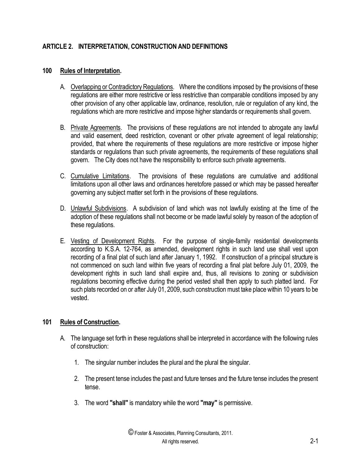## **ARTICLE 2. INTERPRETATION, CONSTRUCTION AND DEFINITIONS**

## **100 Rules of Interpretation.**

- A. Overlapping or Contradictory Regulations. Where the conditions imposed by the provisions of these regulations are either more restrictive or less restrictive than comparable conditions imposed by any other provision of any other applicable law, ordinance, resolution, rule or regulation of any kind, the regulations which are more restrictive and impose higher standards or requirements shall govern.
- B. Private Agreements. The provisions of these regulations are not intended to abrogate any lawful and valid easement, deed restriction, covenant or other private agreement of legal relationship; provided, that where the requirements of these regulations are more restrictive or impose higher standards or regulations than such private agreements, the requirements of these regulations shall govern. The City does not have the responsibility to enforce such private agreements.
- C. Cumulative Limitations. The provisions of these regulations are cumulative and additional limitations upon all other laws and ordinances heretofore passed or which may be passed hereafter governing any subject matter set forth in the provisions of these regulations.
- D. Unlawful Subdivisions. A subdivision of land which was not lawfully existing at the time of the adoption of these regulations shall not become or be made lawful solely by reason of the adoption of these regulations.
- E. Vesting of Development Rights. For the purpose of single-family residential developments according to K.S.A. 12-764, as amended, development rights in such land use shall vest upon recording of a final plat of such land after January 1, 1992. If construction of a principal structure is not commenced on such land within five years of recording a final plat before July 01, 2009, the development rights in such land shall expire and, thus, all revisions to zoning or subdivision regulations becoming effective during the period vested shall then apply to such platted land. For such plats recorded on or after July 01, 2009, such construction must take place within 10 years to be vested.

## **101 Rules of Construction.**

- A. The language set forth in these regulations shall be interpreted in accordance with the following rules of construction:
	- 1. The singular number includes the plural and the plural the singular.
	- 2. The present tense includes the past and future tenses and the future tense includes the present tense.
	- 3. The word **"shall"**is mandatory while the word **"may"** is permissive.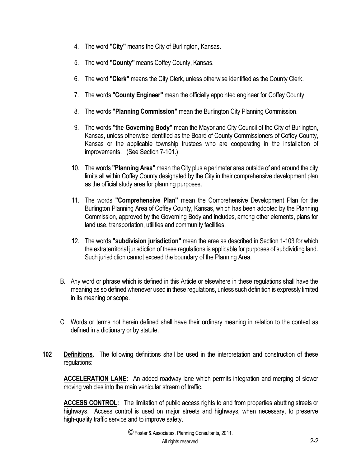- 4. The word **"City"** means the City of Burlington, Kansas.
- 5. The word **"County"** means Coffey County, Kansas.
- 6. The word **"Clerk"** means the City Clerk, unless otherwise identified as the County Clerk.
- 7. The words **"County Engineer"** mean the officially appointed engineer for Coffey County.
- 8. The words **"Planning Commission"** mean the Burlington City Planning Commission.
- 9. The words **"the Governing Body"** mean the Mayor and City Council of the City of Burlington, Kansas, unless otherwise identified as the Board of County Commissioners of Coffey County, Kansas or the applicable township trustees who are cooperating in the installation of improvements. (See Section 7-101.)
- 10. The words **"Planning Area"** mean the City plus a perimeter area outside of and around the city limits all within Coffey County designated by the City in their comprehensive development plan as the official study area for planning purposes.
- 11. The words **"Comprehensive Plan"** mean the Comprehensive Development Plan for the Burlington Planning Area of Coffey County, Kansas, which has been adopted by the Planning Commission, approved by the Governing Body and includes, among other elements, plans for land use, transportation, utilities and community facilities.
- 12. The words **"subdivision jurisdiction"** mean the area as described in Section 1-103 for which the extraterritorial jurisdiction of these regulations is applicable for purposes of subdividing land. Such jurisdiction cannot exceed the boundary of the Planning Area.
- B. Any word or phrase which is defined in this Article or elsewhere in these regulations shall have the meaning as so defined whenever used in these regulations, unless such definition is expressly limited in its meaning or scope.
- C. Words or terms not herein defined shall have their ordinary meaning in relation to the context as defined in a dictionary or by statute.
- **102 Definitions.** The following definitions shall be used in the interpretation and construction of these regulations:

**ACCELERATION LANE:** An added roadway lane which permits integration and merging of slower moving vehicles into the main vehicular stream of traffic.

**ACCESS CONTROL:** The limitation of public access rights to and from properties abutting streets or highways. Access control is used on major streets and highways, when necessary, to preserve high-quality traffic service and to improve safety.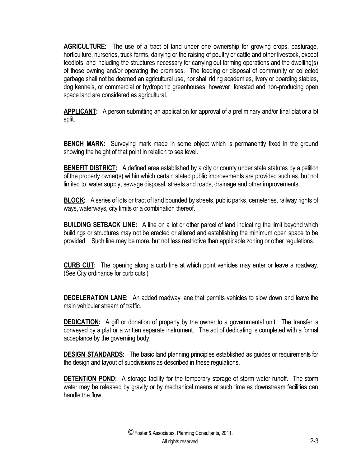**AGRICULTURE:** The use of a tract of land under one ownership for growing crops, pasturage, horticulture, nurseries, truck farms, dairying or the raising of poultry or cattle and other livestock, except feedlots, and including the structures necessary for carrying out farming operations and the dwelling(s) of those owning and/or operating the premises. The feeding or disposal of community or collected garbage shall not be deemed an agricultural use, nor shall riding academies, livery or boarding stables, dog kennels, or commercial or hydroponic greenhouses; however, forested and non-producing open space land are considered as agricultural.

**APPLICANT:** A person submitting an application for approval of a preliminary and/or final plat or a lot split.

**BENCH MARK:** Surveying mark made in some object which is permanently fixed in the ground showing the height of that point in relation to sea level.

**BENEFIT DISTRICT:** A defined area established by a city or county under state statutes by a petition of the property owner(s) within which certain stated public improvements are provided such as, but not limited to, water supply, sewage disposal, streets and roads, drainage and other improvements.

**BLOCK:** A series of lots or tract of land bounded by streets, public parks, cemeteries, railway rights of ways, waterways, city limits or a combination thereof.

**BUILDING SETBACK LINE:** A line on a lot or other parcel of land indicating the limit beyond which buildings or structures may not be erected or altered and establishing the minimum open space to be provided. Such line may be more, but not less restrictive than applicable zoning or other regulations.

**CURB CUT:** The opening along a curb line at which point vehicles may enter or leave a roadway. (See City ordinance for curb cuts.)

**DECELERATION LANE:** An added roadway lane that permits vehicles to slow down and leave the main vehicular stream of traffic.

**DEDICATION:** A gift or donation of property by the owner to a governmental unit. The transfer is conveyed by a plat or a written separate instrument. The act of dedicating is completed with a formal acceptance by the governing body.

**DESIGN STANDARDS:** The basic land planning principles established as guides or requirements for the design and layout of subdivisions as described in these regulations.

**DETENTION POND:** A storage facility for the temporary storage of storm water runoff. The storm water may be released by gravity or by mechanical means at such time as downstream facilities can handle the flow.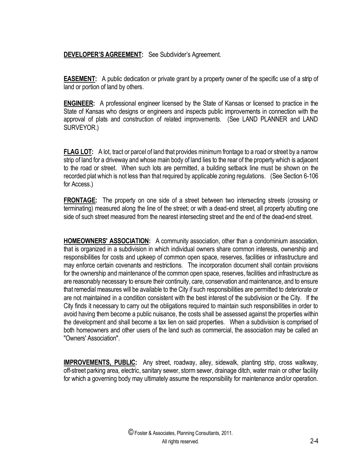## **DEVELOPER'S AGREEMENT:** See Subdivider's Agreement.

**EASEMENT:** A public dedication or private grant by a property owner of the specific use of a strip of land or portion of land by others.

**ENGINEER:** A professional engineer licensed by the State of Kansas or licensed to practice in the State of Kansas who designs or engineers and inspects public improvements in connection with the approval of plats and construction of related improvements. (See LAND PLANNER and LAND SURVEYOR.)

**FLAG LOT:** A lot, tract or parcel of land that provides minimum frontage to a road or street by a narrow strip of land for a driveway and whose main body of land lies to the rear of the property which is adjacent to the road or street. When such lots are permitted, a building setback line must be shown on the recorded plat which is not less than that required by applicable zoning regulations. (See Section 6-106 for Access.)

**FRONTAGE:** The property on one side of a street between two intersecting streets (crossing or terminating) measured along the line of the street; or with a dead-end street, all property abutting one side of such street measured from the nearest intersecting street and the end of the dead-end street.

**HOMEOWNERS' ASSOCIATION:** A community association, other than a condominium association, that is organized in a subdivision in which individual owners share common interests, ownership and responsibilities for costs and upkeep of common open space, reserves, facilities or infrastructure and may enforce certain covenants and restrictions. The incorporation document shall contain provisions for the ownership and maintenance of the common open space, reserves, facilities and infrastructure as are reasonably necessary to ensure their continuity, care, conservation and maintenance, and to ensure that remedial measures will be available to the City if such responsibilities are permitted to deteriorate or are not maintained in a condition consistent with the best interest of the subdivision or the City. If the City finds it necessary to carry out the obligations required to maintain such responsibilities in order to avoid having them become a public nuisance, the costs shall be assessed against the properties within the development and shall become a tax lien on said properties. When a subdivision is comprised of both homeowners and other users of the land such as commercial, the association may be called an "Owners' Association".

**IMPROVEMENTS, PUBLIC:** Any street, roadway, alley, sidewalk, planting strip, cross walkway, off-street parking area, electric, sanitary sewer, storm sewer, drainage ditch, water main or other facility for which a governing body may ultimately assume the responsibility for maintenance and/or operation.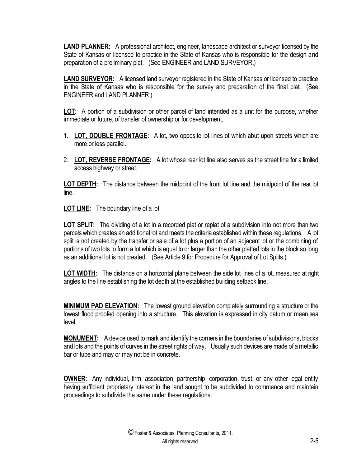**LAND PLANNER:** A professional architect, engineer, landscape architect or surveyor licensed by the State of Kansas or licensed to practice in the State of Kansas who is responsible for the design and preparation of a preliminary plat. (See ENGINEER and LAND SURVEYOR.)

**LAND SURVEYOR:** A licensed land surveyor registered in the State of Kansas or licensed to practice in the State of Kansas who is responsible for the survey and preparation of the final plat. (See ENGINEER and LAND PLANNER.)

**LOT:** A portion of a subdivision or other parcel of land intended as a unit for the purpose, whether immediate or future, of transfer of ownership or for development.

- 1. **LOT, DOUBLE FRONTAGE:** A lot, two opposite lot lines of which abut upon streets which are more or less parallel.
- 2. **LOT, REVERSE FRONTAGE:** A lot whose rear lot line also serves as the street line for a limited access highway or street.

**LOT DEPTH:** The distance between the midpoint of the front lot line and the midpoint of the rear lot line.

**LOT LINE:** The boundary line of a lot.

**LOT SPLIT:** The dividing of a lot in a recorded plat or replat of a subdivision into not more than two parcels which creates an additional lot and meets the criteria established within these regulations. A lot split is not created by the transfer or sale of a lot plus a portion of an adjacent lot or the combining of portions of two lots to form a lot which is equal to or larger than the other platted lots in the block so long as an additional lot is not created. (See Article 9 for Procedure for Approval of Lot Splits.)

**LOT WIDTH:** The distance on a horizontal plane between the side lot lines of a lot, measured at right angles to the line establishing the lot depth at the established building setback line.

**MINIMUM PAD ELEVATION:** The lowest ground elevation completely surrounding a structure or the lowest flood proofed opening into a structure. This elevation is expressed in city datum or mean sea level.

**MONUMENT:** A device used to mark and identify the corners in the boundaries of subdivisions, blocks and lots and the points of curves in the street rights of way. Usually such devices are made of a metallic bar or tube and may or may not be in concrete.

**OWNER:** Any individual, firm, association, partnership, corporation, trust, or any other legal entity having sufficient proprietary interest in the land sought to be subdivided to commence and maintain proceedings to subdivide the same under these regulations.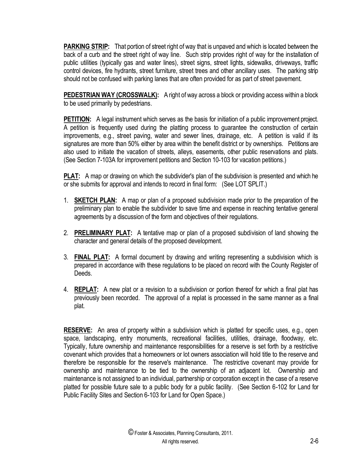**PARKING STRIP:** That portion of street right of way that is unpaved and which is located between the back of a curb and the street right of way line. Such strip provides right of way for the installation of public utilities (typically gas and water lines), street signs, street lights, sidewalks, driveways, traffic control devices, fire hydrants, street furniture, street trees and other ancillary uses. The parking strip should not be confused with parking lanes that are often provided for as part of street pavement.

**PEDESTRIAN WAY (CROSSWALK):** A right of way across a block or providing access within a block to be used primarily by pedestrians.

**PETITION:** A legal instrument which serves as the basis for initiation of a public improvement project. A petition is frequently used during the platting process to guarantee the construction of certain improvements, e.g., street paving, water and sewer lines, drainage, etc. A petition is valid if its signatures are more than 50% either by area within the benefit district or by ownerships. Petitions are also used to initiate the vacation of streets, alleys, easements, other public reservations and plats. (See Section 7-103A for improvement petitions and Section 10-103 for vacation petitions.)

**PLAT:** A map or drawing on which the subdivider's plan of the subdivision is presented and which he or she submits for approval and intends to record in final form: (See LOT SPLIT.)

- 1. **SKETCH PLAN:** A map or plan of a proposed subdivision made prior to the preparation of the preliminary plan to enable the subdivider to save time and expense in reaching tentative general agreements by a discussion of the form and objectives of their regulations.
- 2. **PRELIMINARY PLAT:** A tentative map or plan of a proposed subdivision of land showing the character and general details of the proposed development.
- 3. **FINAL PLAT:** A formal document by drawing and writing representing a subdivision which is prepared in accordance with these regulations to be placed on record with the County Register of Deeds.
- 4. **REPLAT:** A new plat or a revision to a subdivision or portion thereof for which a final plat has previously been recorded. The approval of a replat is processed in the same manner as a final plat.

**RESERVE:** An area of property within a subdivision which is platted for specific uses, e.g., open space, landscaping, entry monuments, recreational facilities, utilities, drainage, floodway, etc. Typically, future ownership and maintenance responsibilities for a reserve is set forth by a restrictive covenant which provides that a homeowners or lot owners association will hold title to the reserve and therefore be responsible for the reserve's maintenance. The restrictive covenant may provide for ownership and maintenance to be tied to the ownership of an adjacent lot. Ownership and maintenance is not assigned to an individual, partnership or corporation except in the case of a reserve platted for possible future sale to a public body for a public facility. (See Section 6-102 for Land for Public Facility Sites and Section 6-103 for Land for Open Space.)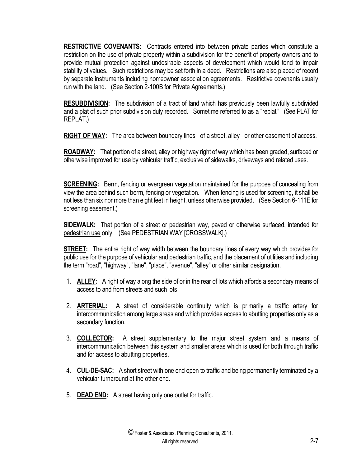**RESTRICTIVE COVENANTS:** Contracts entered into between private parties which constitute a restriction on the use of private property within a subdivision for the benefit of property owners and to provide mutual protection against undesirable aspects of development which would tend to impair stability of values. Such restrictions may be set forth in a deed. Restrictions are also placed of record by separate instruments including homeowner association agreements. Restrictive covenants usually run with the land. (See Section 2-100B for Private Agreements.)

**RESUBDIVISION:** The subdivision of a tract of land which has previously been lawfully subdivided and a plat of such prior subdivision duly recorded. Sometime referred to as a "replat." (See PLAT for REPLAT.)

**RIGHT OF WAY:** The area between boundary lines of a street, alley or other easement of access.

**ROADWAY:** That portion of a street, alley or highway right of way which has been graded, surfaced or otherwise improved for use by vehicular traffic, exclusive of sidewalks, driveways and related uses.

**SCREENING:** Berm, fencing or evergreen vegetation maintained for the purpose of concealing from view the area behind such berm, fencing or vegetation. When fencing is used for screening, it shall be not less than six nor more than eight feet in height, unless otherwise provided. (See Section 6-111E for screening easement.)

**SIDEWALK:** That portion of a street or pedestrian way, paved or otherwise surfaced, intended for pedestrian use only. (See PEDESTRIAN WAY [CROSSWALK].)

**STREET:** The entire right of way width between the boundary lines of every way which provides for public use for the purpose of vehicular and pedestrian traffic, and the placement of utilities and including the term "road", "highway", "lane", "place", "avenue", "alley" or other similar designation.

- 1. **ALLEY:** A right of way along the side of or in the rear of lots which affords a secondary means of access to and from streets and such lots.
- 2. **ARTERIAL:** A street of considerable continuity which is primarily a traffic artery for intercommunication among large areas and which provides access to abutting properties only as a secondary function.
- 3. **COLLECTOR:** A street supplementary to the major street system and a means of intercommunication between this system and smaller areas which is used for both through traffic and for access to abutting properties.
- 4. **CUL-DE-SAC:** A short street with one end open to traffic and being permanently terminated by a vehicular turnaround at the other end.
- 5. **DEAD END:** A street having only one outlet for traffic.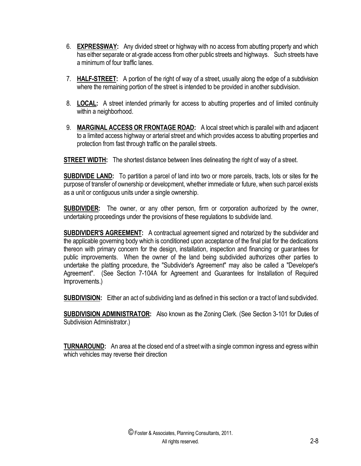- 6. **EXPRESSWAY:** Any divided street or highway with no access from abutting property and which has either separate or at-grade access from other public streets and highways. Such streets have a minimum of four traffic lanes.
- 7. **HALF-STREET:** A portion of the right of way of a street, usually along the edge of a subdivision where the remaining portion of the street is intended to be provided in another subdivision.
- 8. **LOCAL:** A street intended primarily for access to abutting properties and of limited continuity within a neighborhood.
- 9. **MARGINAL ACCESS OR FRONTAGE ROAD:** A local street which is parallel with and adjacent to a limited access highway or arterial street and which provides access to abutting properties and protection from fast through traffic on the parallel streets.

**STREET WIDTH:** The shortest distance between lines delineating the right of way of a street.

**SUBDIVIDE LAND:** To partition a parcel of land into two or more parcels, tracts, lots or sites for the purpose of transfer of ownership or development, whether immediate or future, when such parcel exists as a unit or contiguous units under a single ownership.

**SUBDIVIDER:** The owner, or any other person, firm or corporation authorized by the owner, undertaking proceedings under the provisions of these regulations to subdivide land.

**SUBDIVIDER'S AGREEMENT:** A contractual agreement signed and notarized by the subdivider and the applicable governing body which is conditioned upon acceptance of the final plat for the dedications thereon with primary concern for the design, installation, inspection and financing or guarantees for public improvements. When the owner of the land being subdivided authorizes other parties to undertake the platting procedure, the "Subdivider's Agreement" may also be called a "Developer's Agreement". (See Section 7-104A for Agreement and Guarantees for Installation of Required Improvements.)

**SUBDIVISION:** Either an act of subdividing land as defined in this section or a tract of land subdivided.

**SUBDIVISION ADMINISTRATOR:** Also known as the Zoning Clerk. (See Section 3-101 for Duties of Subdivision Administrator.)

**TURNAROUND:** An area at the closed end of a street with a single common ingress and egress within which vehicles may reverse their direction